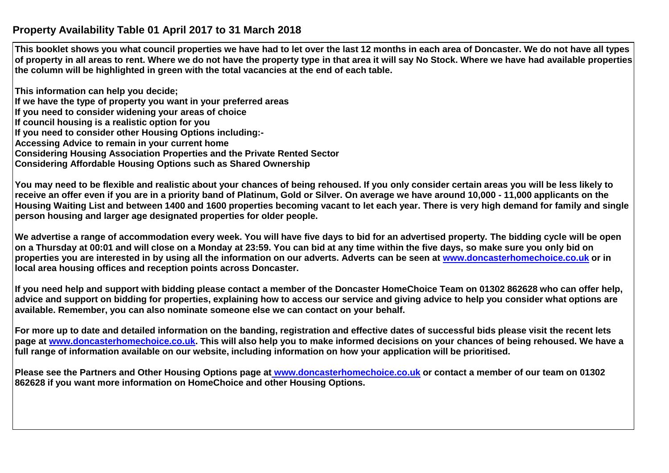## **Property Availability Table 01 April 2017 to 31 March 2018**

**This booklet shows you what council properties we have had to let over the last 12 months in each area of Doncaster. We do not have all types of property in all areas to rent. Where we do not have the property type in that area it will say No Stock. Where we have had available properties the column will be highlighted in green with the total vacancies at the end of each table.**

**This information can help you decide; If we have the type of property you want in your preferred areas If you need to consider widening your areas of choice If council housing is a realistic option for you If you need to consider other Housing Options including:- Accessing Advice to remain in your current home Considering Housing Association Properties and the Private Rented Sector Considering Affordable Housing Options such as Shared Ownership**

**You may need to be flexible and realistic about your chances of being rehoused. If you only consider certain areas you will be less likely to receive an offer even if you are in a priority band of Platinum, Gold or Silver. On average we have around 10,000 - 11,000 applicants on the Housing Waiting List and between 1400 and 1600 properties becoming vacant to let each year. There is very high demand for family and single person housing and larger age designated properties for older people.**

**We advertise a range of accommodation every week. You will have five days to bid for an advertised property. The bidding cycle will be open on a Thursday at 00:01 and will close on a Monday at 23:59. You can bid at any time within the five days, so make sure you only bid on properties you are interested in by using all the information on our adverts. Adverts can be seen at www.doncasterhomechoice.co.uk or in local area housing offices and reception points across Doncaster.** 

**If you need help and support with bidding please contact a member of the Doncaster HomeChoice Team on 01302 862628 who can offer help, advice and support on bidding for properties, explaining how to access our service and giving advice to help you consider what options are available. Remember, you can also nominate someone else we can contact on your behalf.** 

**For more up to date and detailed information on the banding, registration and effective dates of successful bids please visit the recent lets page at www.doncasterhomechoice.co.uk. This will also help you to make informed decisions on your chances of being rehoused. We have a full range of information available on our website, including information on how your application will be prioritised.** 

**Please see the Partners and Other Housing Options page at www.doncasterhomechoice.co.uk or contact a member of our team on 01302 862628 if you want more information on HomeChoice and other Housing Options.**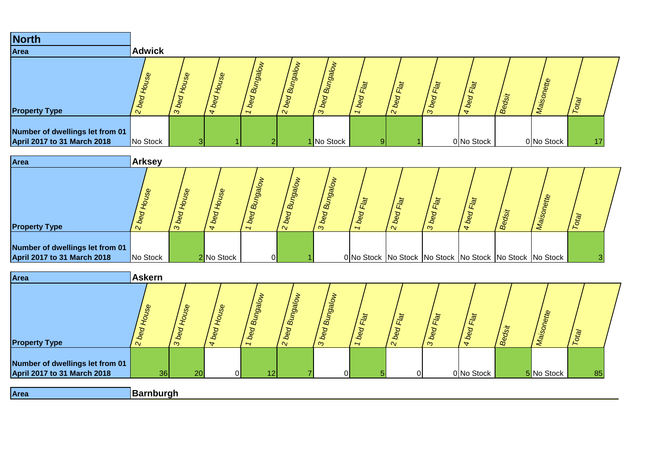| <b>North</b>                                                          |               |              |                                                     |                          |                              |                                   |                                                            |                                    |                      |            |        |               |                        |  |
|-----------------------------------------------------------------------|---------------|--------------|-----------------------------------------------------|--------------------------|------------------------------|-----------------------------------|------------------------------------------------------------|------------------------------------|----------------------|------------|--------|---------------|------------------------|--|
| Area                                                                  | <b>Adwick</b> |              |                                                     |                          |                              |                                   |                                                            |                                    |                      |            |        |               |                        |  |
| <b>Property Type</b>                                                  | <b>S</b> e    | يو<br>3 bed  | $\mathcal{S}^{\mathcal{D}}$<br>beq<br>$\rightarrow$ | lore6<br>$B_{\tilde{g}}$ | lorgic<br>ใช้<br>ه<br>$\sim$ | orebu<br>$B_{\rm d}$<br>bed<br>ົຕ | $\overline{\mathbb{R}}$<br>bed<br>$\overline{\phantom{0}}$ | Flat<br>Ø<br>$\overline{c}$<br>′ ∾ | $\vec{p}$<br>٠c<br>ന | Flat<br>م  | Bedsit | ette<br>Maiso | $\sigma$ <sub>to</sub> |  |
| Number of dwellings let from 01<br><b>April 2017 to 31 March 2018</b> | No Stock      | $\mathbf{R}$ |                                                     |                          |                              | 1 No Stock                        | O.                                                         |                                    |                      | 0 No Stock |        | 0 No Stock    | 17                     |  |

| Area                                                           | <b>Arksey</b>         |                              |                                                   |                                |                  |                                 |                                     |             |                |                        |        |                                                                   |  |
|----------------------------------------------------------------|-----------------------|------------------------------|---------------------------------------------------|--------------------------------|------------------|---------------------------------|-------------------------------------|-------------|----------------|------------------------|--------|-------------------------------------------------------------------|--|
| <b>Property Type</b>                                           | $\boldsymbol{\omega}$ | v<br>$b_{\rm e}$<br>$\infty$ | $\boldsymbol{\omega}$<br>$\overline{\phantom{a}}$ | Mole6<br>$B_{\mathbf{u}}$<br>∽ | Bungal<br>$\sim$ | <b>D</b><br>$B_{U}$<br>beq<br>ന | $b_{\mathcal{C}}$<br>$\overline{ }$ | س<br>$\sim$ | $\vec{p}$<br>ო | Flat<br>$\overline{a}$ | Bedsit |                                                                   |  |
| Number of dwellings let from 01<br>April 2017 to 31 March 2018 | No Stock              |                              | 2 No Stock                                        | 0                              |                  |                                 |                                     |             |                |                        |        | 0 No Stock   No Stock   No Stock   No Stock   No Stock   No Stock |  |

| Area                                                                  | <b>Askern</b>            |                   |                             |                               |                                                 |                             |                               |                              |                            |                                               |        |            |                       |  |
|-----------------------------------------------------------------------|--------------------------|-------------------|-----------------------------|-------------------------------|-------------------------------------------------|-----------------------------|-------------------------------|------------------------------|----------------------------|-----------------------------------------------|--------|------------|-----------------------|--|
| <b>Property Type</b>                                                  | use<br>$\mathbf{\Omega}$ | use<br>↵<br>3 bed | use<br>bed<br>$\rightarrow$ | Bungalow<br>$b_{\mathcal{C}}$ | <b>Bungalow</b><br>$\mathcal{S}$<br>¢<br>$\sim$ | Bungalow<br>bed<br>$\infty$ | Flat<br>bed<br>$\overline{ }$ | Flat<br>$\sqrt{\frac{2}{3}}$ | Flat<br>$b$ ed<br>$\infty$ | Flat<br>$\mathcal{S}$<br>٠Q<br>$\overline{a}$ | Bedsit | Maisor     | <b>P<sub>10</sub></b> |  |
| Number of dwellings let from 01<br><b>April 2017 to 31 March 2018</b> | 36                       | 20                | $\Omega$                    | 12 <sub>l</sub>               |                                                 |                             |                               | $\Omega$                     |                            | 0 No Stock                                    |        | 5 No Stock | 85                    |  |
| Area                                                                  | Barnburgh                |                   |                             |                               |                                                 |                             |                               |                              |                            |                                               |        |            |                       |  |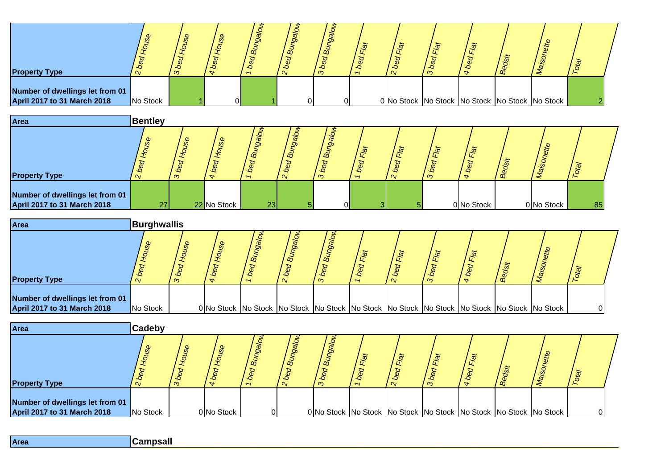| <b>Property Type</b>                                                  |          | ന | ŏ<br>∽ | ã<br>$\mathbf{v}$ | œ<br>$\infty$ | $\overline{\phantom{a}}$ | ستلا<br>ო |  |                                                | $\sigma$ |  |
|-----------------------------------------------------------------------|----------|---|--------|-------------------|---------------|--------------------------|-----------|--|------------------------------------------------|----------|--|
| Number of dwellings let from 01<br><b>April 2017 to 31 March 2018</b> | No Stock |   |        |                   |               |                          |           |  | 0 No Stock No Stock No Stock No Stock No Stock |          |  |



| <b>Area</b>                                                           | Burghwallis |        |  |                                                                                                               |               |                |        |    |    |  |
|-----------------------------------------------------------------------|-------------|--------|--|---------------------------------------------------------------------------------------------------------------|---------------|----------------|--------|----|----|--|
| <b>Property Type</b>                                                  |             | ∼<br>ന |  | $\vec{a}$                                                                                                     | œ<br>$\infty$ | $\overline{ }$ | 应<br>ന | ക് |    |  |
| Number of dwellings let from 01<br><b>April 2017 to 31 March 2018</b> | No Stock    |        |  | 0 No Stock   No Stock   No Stock   No Stock   No Stock   No Stock   No Stock   No Stock   No Stock   No Stock |               |                |        |    | ΩI |  |

| Area                                                           | Cadeby                |          |                          |    |              |                                                                              |                                    |                        |                       |      |    |  |
|----------------------------------------------------------------|-----------------------|----------|--------------------------|----|--------------|------------------------------------------------------------------------------|------------------------------------|------------------------|-----------------------|------|----|--|
| <b>Property Type</b>                                           | $\boldsymbol{\omega}$ | $\infty$ | $\overline{\phantom{a}}$ |    | മ്<br>$\sim$ | ã<br>ന                                                                       | $\tilde{\sigma}$<br>$\overline{ }$ | $\tilde{\mathfrak{g}}$ | $\tilde{\sigma}$<br>ന | ' ക് | te |  |
| Number of dwellings let from 01<br>April 2017 to 31 March 2018 | No Stock              |          | 0 No Stock               | ΩI |              | 0 No Stock   No Stock   No Stock   No Stock   No Stock   No Stock   No Stock |                                    |                        |                       |      |    |  |

| Area |  |  |
|------|--|--|
|      |  |  |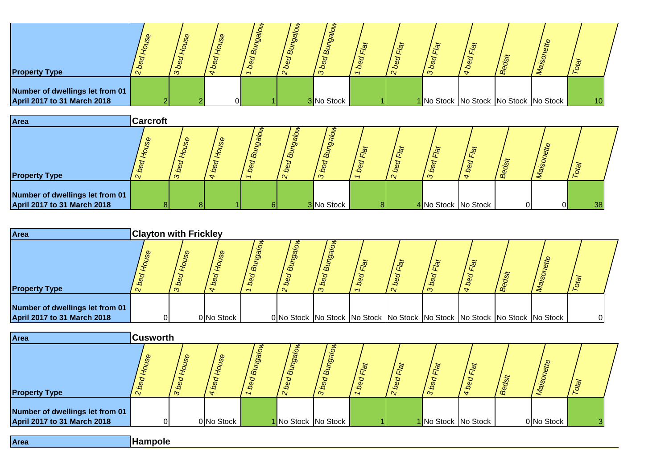| <b>Property Type</b>                                           | $\sigma$<br>$\alpha$ | Φ<br>ന | $\mathcal{S}^{\mathcal{D}}$ | ୭<br>$\vec{m}$<br>$\overline{\phantom{0}}$ | o<br>മ്<br>$\sim$ | o<br>m<br>മ<br>ന | $\overline{ }$ | ستلا<br>으<br>$\infty$ | m | ette                                        | $\widetilde{\mathfrak{G}}$ |  |
|----------------------------------------------------------------|----------------------|--------|-----------------------------|--------------------------------------------|-------------------|------------------|----------------|-----------------------|---|---------------------------------------------|----------------------------|--|
| Number of dwellings let from 01<br>April 2017 to 31 March 2018 |                      |        | ∩I                          |                                            |                   | 3 No Stock       |                |                       |   | 1 No Stock   No Stock   No Stock   No Stock | 10 <sub>1</sub>            |  |



| Area                                                                  | <b>Clayton with Frickley</b> |   |            |   |                                                                                         |        |                |        |                             |      |  |  |
|-----------------------------------------------------------------------|------------------------------|---|------------|---|-----------------------------------------------------------------------------------------|--------|----------------|--------|-----------------------------|------|--|--|
| <b>Property Type</b>                                                  | ್ಲಿ                          | ന | ೫          | ∽ | ⊙<br>$\vec{a}$                                                                          | œ<br>ന | $\overline{ }$ | $\sim$ | $\tilde{\mathfrak{a}}$<br>ന | / ஜீ |  |  |
| Number of dwellings let from 01<br><b>April 2017 to 31 March 2018</b> |                              |   | 0 No Stock |   | 0 No Stock   No Stock   No Stock   No Stock   No Stock   No Stock   No Stock   No Stock |        |                |        |                             |      |  |  |

| Area                                                           | <b>Cusworth</b>             |                                        |                            |                               |                                |                            |                                              |                     |                            |                              |                    |            |                  |  |
|----------------------------------------------------------------|-----------------------------|----------------------------------------|----------------------------|-------------------------------|--------------------------------|----------------------------|----------------------------------------------|---------------------|----------------------------|------------------------------|--------------------|------------|------------------|--|
| <b>Property Type</b>                                           | $\mathcal{S}^{\mathcal{S}}$ | $\mathcal{S}^{\mathcal{O}}$<br>٠Q<br>ന | <b>SS</b><br>$\rightarrow$ | $J$ e $\delta$<br>$B_{\rm d}$ | 99<br>$B_{45}$<br>βg<br>$\sim$ | O<br>$\vec{a}$<br>beq<br>ന | $\vec{a}$<br>$\mathcal{L}$<br>$\overline{ }$ | $\vec{a}$<br>$\sim$ | Flat<br>$\mathcal{S}$<br>ന | Flat<br>beq<br>$\rightarrow$ | $\omega$<br>/ စို့ | ette       | /e <sub>10</sub> |  |
| Number of dwellings let from 01<br>April 2017 to 31 March 2018 | ΩI                          |                                        | 0 No Stock                 |                               |                                | 1 No Stock No Stock        |                                              |                     |                            | 1 No Stock No Stock          |                    | 0 No Stock |                  |  |

| <b>IArea</b> | <b>Hampole</b> |
|--------------|----------------|
|              |                |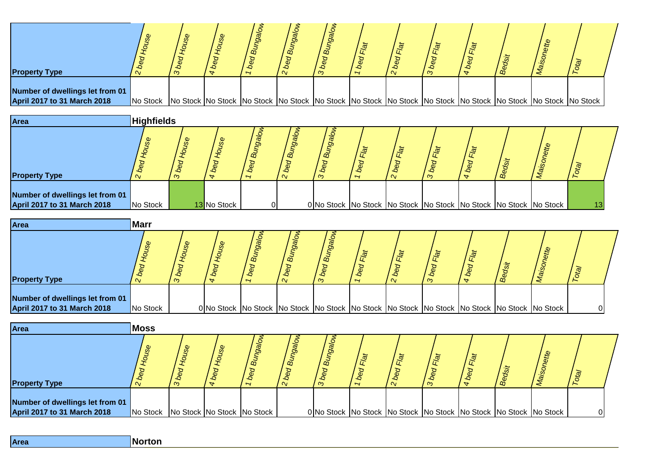| <b>Property Type</b>                                                  |                                                                                                                               | $\infty$ |  | $\vec{\omega}$ | œ<br>ന |  |  |  |  |
|-----------------------------------------------------------------------|-------------------------------------------------------------------------------------------------------------------------------|----------|--|----------------|--------|--|--|--|--|
| Number of dwellings let from 01<br><b>April 2017 to 31 March 2018</b> | No Stock No Stock No Stock No Stock No Stock No Stock No Stock No Stock No Stock No Stock No Stock No Stock No Stock No Stock |          |  |                |        |  |  |  |  |



| Area                               | <b>Marr</b> |   |  |           |        |                                    |                  |   |                                                                                                               |  |  |
|------------------------------------|-------------|---|--|-----------|--------|------------------------------------|------------------|---|---------------------------------------------------------------------------------------------------------------|--|--|
| <b>Property Type</b>               |             | ന |  | $\vec{a}$ | œ<br>ന | $\tilde{\sigma}$<br>$\overline{ }$ | $\tilde{\sigma}$ | ത | ഻ഀ൧ഀ                                                                                                          |  |  |
| Number of dwellings let from 01    |             |   |  |           |        |                                    |                  |   |                                                                                                               |  |  |
| <b>April 2017 to 31 March 2018</b> | No Stock    |   |  |           |        |                                    |                  |   | 0 No Stock   No Stock   No Stock   No Stock   No Stock   No Stock   No Stock   No Stock   No Stock   No Stock |  |  |

| Area                                                           | <b>Moss</b>                         |        |   |                          |              |                                                                              |                                |        |   |      |                |  |
|----------------------------------------------------------------|-------------------------------------|--------|---|--------------------------|--------------|------------------------------------------------------------------------------|--------------------------------|--------|---|------|----------------|--|
| <b>Property Type</b>                                           | $\boldsymbol{\omega}$               | s<br>ന | ₩ | $\overline{\phantom{a}}$ | മ്<br>$\sim$ | $\vec{\omega}$<br>്ര                                                         | ٠c<br>$\overline{\phantom{0}}$ | $\sim$ | ന | ' ക് | $\mathfrak{g}$ |  |
| Number of dwellings let from 01<br>April 2017 to 31 March 2018 | No Stock No Stock No Stock No Stock |        |   |                          |              | 0 No Stock   No Stock   No Stock   No Stock   No Stock   No Stock   No Stock |                                |        |   |      |                |  |

**Area Norton**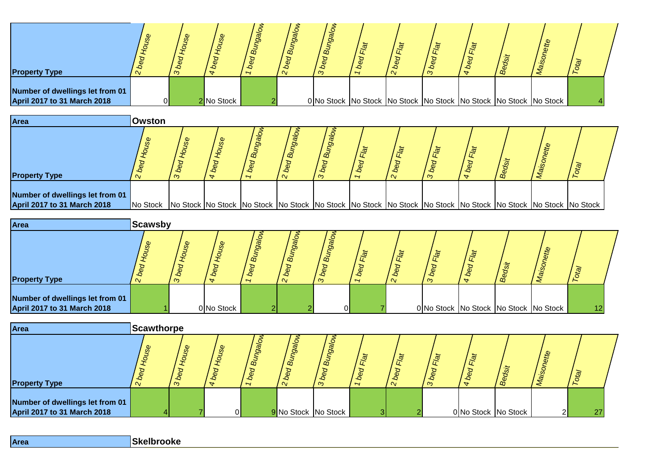| <b>Property Type</b>                                           | Ø<br>$\alpha$ | ന | $\mathcal{S}^{\mathcal{D}}$ | ළි<br>യ<br>$\overline{\phantom{a}}$ | $\overline{a}$<br>$\sigma$<br>$\sim$ | ണ്<br>ന                                                                      | $\overline{\phantom{0}}$ | $\alpha$ | $\tilde{\sigma}$<br>ന | α | Le | $\overline{\mathfrak{g}}$ |  |
|----------------------------------------------------------------|---------------|---|-----------------------------|-------------------------------------|--------------------------------------|------------------------------------------------------------------------------|--------------------------|----------|-----------------------|---|----|---------------------------|--|
| Number of dwellings let from 01<br>April 2017 to 31 March 2018 | $\Omega$      |   | 2 No Stock                  |                                     |                                      | 0 No Stock   No Stock   No Stock   No Stock   No Stock   No Stock   No Stock |                          |          |                       |   |    |                           |  |



| <b>Area</b>                                                           | Scawsby                       |        |                               |          |           |                   |                |                |                                       |   |     |          |                   |  |
|-----------------------------------------------------------------------|-------------------------------|--------|-------------------------------|----------|-----------|-------------------|----------------|----------------|---------------------------------------|---|-----|----------|-------------------|--|
| <b>Property Type</b>                                                  | $\omega$<br>$\mathsf{\alpha}$ | മ<br>ന | ஜ<br>$\overline{\phantom{a}}$ | 8g<br>മ് | $\vec{a}$ | ã<br><sub>c</sub> | $\overline{ }$ | $\overline{a}$ | $\tilde{\sigma}$<br>$\infty$          | 应 | ھ ا | <b>A</b> |                   |  |
| Number of dwellings let from 01<br><b>April 2017 to 31 March 2018</b> |                               |        | 0 No Stock                    |          |           | ΩL                |                |                | 0 No Stock No Stock No Stock No Stock |   |     |          | $12 \overline{ }$ |  |

| <b>Area</b>                                                    | <b>Scawthorpe</b>               |             |                                 |                             |                              |                                      |              |                            |                |                             |                     |               |        |  |
|----------------------------------------------------------------|---------------------------------|-------------|---------------------------------|-----------------------------|------------------------------|--------------------------------------|--------------|----------------------------|----------------|-----------------------------|---------------------|---------------|--------|--|
| <b>Property Type</b>                                           | $\boldsymbol{\omega}$<br>$\sim$ | v<br>þ<br>က | $\omega$<br>Φ<br>$\overline{a}$ | eo<br>$\tilde{\omega}$<br>∽ | pgq<br>$\vec{B}$<br>$\alpha$ | $\overline{a}$<br>$b$ ed<br>$\infty$ | -9<br>∽      | $\tilde{\sigma}$<br>$\sim$ | $\vec{e}$<br>ന | $\vec{p}$<br>$\bullet$<br>- | ' ထို               | $\mathcal{Q}$ | $ot$ a |  |
| Number of dwellings let from 01<br>April 2017 to 31 March 2018 |                                 |             | ΟL                              |                             | 9 No Stock No Stock          |                                      | $\mathbf{R}$ |                            |                |                             | 0 No Stock No Stock |               | 27     |  |

| Skelbrooke<br><b>Area</b> |
|---------------------------|
|---------------------------|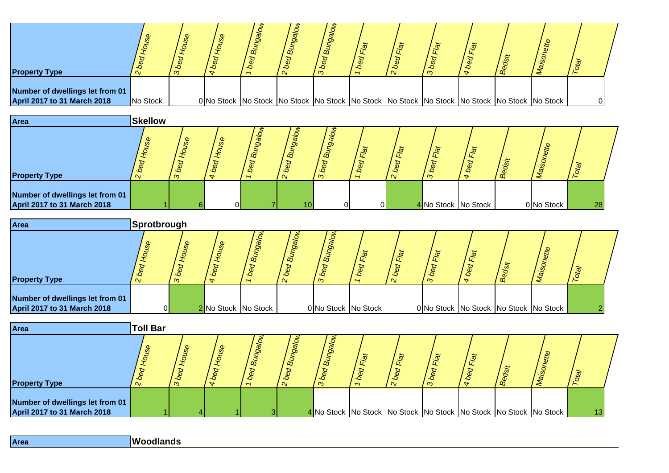| <b>Property Type</b>                                                  |          | ب<br>$\infty$ | Ø | යි<br>∽ | $\tilde{\omega}$<br>$\alpha$ | م<br>ന |  | -9 |                                                                                                               | ট্র |  |
|-----------------------------------------------------------------------|----------|---------------|---|---------|------------------------------|--------|--|----|---------------------------------------------------------------------------------------------------------------|-----|--|
| Number of dwellings let from 01<br><b>April 2017 to 31 March 2018</b> | No Stock |               |   |         |                              |        |  |    | 0 No Stock   No Stock   No Stock   No Stock   No Stock   No Stock   No Stock   No Stock   No Stock   No Stock |     |  |



| <b>Area</b>                                                           | <b>Sprotbrough</b> |                            |              |                             |                       |                     |                |                        |          |       |                                       |                           |  |
|-----------------------------------------------------------------------|--------------------|----------------------------|--------------|-----------------------------|-----------------------|---------------------|----------------|------------------------|----------|-------|---------------------------------------|---------------------------|--|
| <b>Property Type</b>                                                  | $\sim$             | $\boldsymbol{\omega}$<br>ന | $\mathbf{e}$ | <b>gg</b><br>$\vec{\omega}$ | $\vec{a}$<br>$\alpha$ | $\infty$<br>m       | $\overline{ }$ | $\tilde{\mathfrak{g}}$ | ja.<br>ന | / ద్ద | ₽                                     | $\overline{\mathfrak{G}}$ |  |
| Number of dwellings let from 01<br><b>April 2017 to 31 March 2018</b> | ΩI                 |                            |              | 2 No Stock No Stock         |                       | 0 No Stock No Stock |                |                        |          |       | 0 No Stock No Stock No Stock No Stock |                           |  |

| Area                                                           | <b>Toll Bar</b>       |   |   |                          |                          |                     |                               |    |                                                                              |     |    |                |  |
|----------------------------------------------------------------|-----------------------|---|---|--------------------------|--------------------------|---------------------|-------------------------------|----|------------------------------------------------------------------------------|-----|----|----------------|--|
| <b>Property Type</b>                                           | $\boldsymbol{\omega}$ | ന | ₩ | $\overline{\phantom{0}}$ | $\vec{\omega}$<br>$\sim$ | $\overline{a}$<br>ന | Æ<br>$\overline{\phantom{a}}$ | ົດ | ന                                                                            | ' ஃ | يو | $\mathfrak{B}$ |  |
| Number of dwellings let from 01<br>April 2017 to 31 March 2018 |                       |   |   |                          |                          |                     |                               |    | 4 No Stock   No Stock   No Stock   No Stock   No Stock   No Stock   No Stock |     |    |                |  |

| Area | Woodlands |
|------|-----------|
|------|-----------|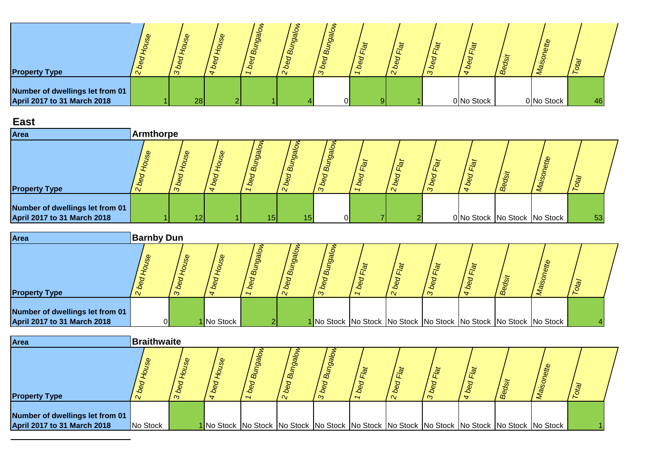| <b>Property Type</b>                                           | ന               | $\omega$ | ö<br>$\alpha$ | o<br>$\vec{\omega}$<br>$\alpha$ | $\tilde{\mathbf{z}}$<br>$\infty$ | $\overline{\phantom{a}}$ | $\alpha$ | $\infty$ | .<br>$\mathcal{Q}$ | கீ |            |    |  |
|----------------------------------------------------------------|-----------------|----------|---------------|---------------------------------|----------------------------------|--------------------------|----------|----------|--------------------|----|------------|----|--|
| Number of dwellings let from 01<br>April 2017 to 31 March 2018 | 28 <sub>l</sub> |          |               |                                 | ΩL                               |                          |          |          | 0 No Stock         |    | 0 No Stock | 46 |  |

## **East**

| Area                                                           | Armthorpe |                                 |                                                         |                 |    |                              |                |                                  |                                  |                                  |      |   |    |  |
|----------------------------------------------------------------|-----------|---------------------------------|---------------------------------------------------------|-----------------|----|------------------------------|----------------|----------------------------------|----------------------------------|----------------------------------|------|---|----|--|
| <b>Property Type</b>                                           | w         | $\boldsymbol{\omega}$<br>∼<br>ന | $\mathcal{S}^{\mathcal{C}}$<br>$\overline{\phantom{a}}$ | $\vec{a}$<br>∽  | മ് | $\tilde{\omega}$<br>$\infty$ | $\overline{ }$ | $\tilde{\mathfrak{a}}$<br>$\sim$ | $\tilde{\mathfrak{g}}$<br>Æ<br>ന | $\tilde{\sigma}$<br>$\mathbf{v}$ | / ထိ | £ |    |  |
| Number of dwellings let from 01<br>April 2017 to 31 March 2018 |           |                                 |                                                         | 15 <sub>h</sub> | 15 | ΩI                           |                |                                  |                                  | 0 No Stock No Stock No Stock     |      |   | 53 |  |

| <b>Area</b>                                                           | <b>Barnby Dun</b> |                            |            |                 |    |                    |   |                           |    |                                                                              |                            |  |
|-----------------------------------------------------------------------|-------------------|----------------------------|------------|-----------------|----|--------------------|---|---------------------------|----|------------------------------------------------------------------------------|----------------------------|--|
| <b>Property Type</b>                                                  |                   | $\boldsymbol{\omega}$<br>ന | ஜ          | <b>go</b><br>മ് | മ് | <sub>00</sub><br>S | ∽ | $\tilde{\mathbb{P}}$<br>ന | ക് |                                                                              | $\widetilde{\mathfrak{G}}$ |  |
| Number of dwellings let from 01<br><b>April 2017 to 31 March 2018</b> |                   |                            | 1 No Stock |                 |    |                    |   |                           |    | 1 No Stock   No Stock   No Stock   No Stock   No Stock   No Stock   No Stock |                            |  |

| <b>Area</b>                                                           | <b>Braithwaite</b> |                     |   |                                    |                                                                                                               |                |                |                     |                           |    |                     |  |
|-----------------------------------------------------------------------|--------------------|---------------------|---|------------------------------------|---------------------------------------------------------------------------------------------------------------|----------------|----------------|---------------------|---------------------------|----|---------------------|--|
| <b>Property Type</b>                                                  | മ                  | $\overline{Q}$<br>ന | Φ | <b>g</b><br>$\tilde{\mathfrak{m}}$ | $\vec{\omega}$                                                                                                | $\vec{a}$<br>ത | $\overline{ }$ | $\overline{\alpha}$ | $\tilde{\mathbb{F}}$<br>ന | ക് | $\overline{\omega}$ |  |
| Number of dwellings let from 01<br><b>April 2017 to 31 March 2018</b> | No Stock           |                     |   |                                    | 1 No Stock   No Stock   No Stock   No Stock   No Stock   No Stock   No Stock   No Stock   No Stock   No Stock |                |                |                     |                           |    |                     |  |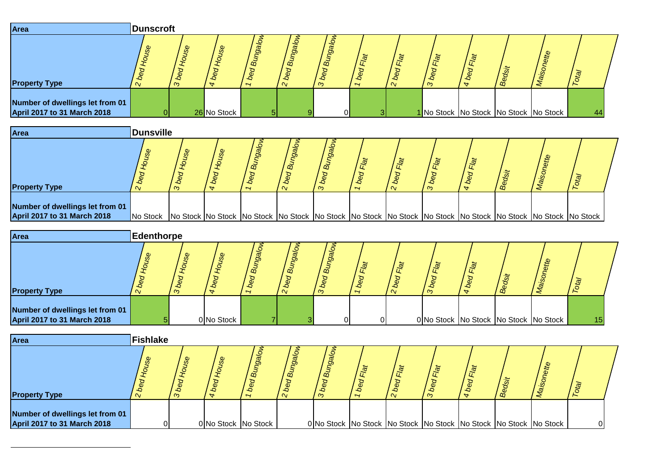| Area                                                                  | <b>Dunscroft</b>  |             |                     |                |                |                |            |                                                                                                                                  |            |            |                                       |            |                |  |
|-----------------------------------------------------------------------|-------------------|-------------|---------------------|----------------|----------------|----------------|------------|----------------------------------------------------------------------------------------------------------------------------------|------------|------------|---------------------------------------|------------|----------------|--|
| <b>Property Type</b>                                                  | 2 bed House       | 3 bed House | 4 bed House         | 1 bed Bungalow | 2 bed Bungalow | 3 bed Bungalow | 1 bed Flat | 2 bed Flat                                                                                                                       | 3 bed Flat | 4 bed Flat | Bedsit                                | Maisonette | Total          |  |
| Number of dwellings let from 01<br>April 2017 to 31 March 2018        | $\overline{0}$    |             | 26 No Stock         | 5 <sub>l</sub> | 9              | $\overline{0}$ |            | 3                                                                                                                                |            |            | No Stock No Stock No Stock No Stock   |            | 44             |  |
| Area                                                                  | <b>Dunsville</b>  |             |                     |                |                |                |            |                                                                                                                                  |            |            |                                       |            |                |  |
| <b>Property Type</b>                                                  | 2 bed House       | 3 bed House | 4 bed House         | 1 bed Bungalow | 2 bed Bungalow | 3 bed Bungalow | 1 bed Flat | 2 bed Flat                                                                                                                       | 3 bed Flat | 4 bed Flat | Bedsit                                | Maisonette | Total          |  |
| Number of dwellings let from 01<br><b>April 2017 to 31 March 2018</b> | No Stock          |             |                     |                |                |                |            | No Stock  No Stock  No Stock  No Stock  No Stock  No Stock  No Stock  No Stock  No Stock  No Stock  No Stock  No Stock  No Stock |            |            |                                       |            |                |  |
| Area                                                                  | <b>Edenthorpe</b> |             |                     |                |                |                |            |                                                                                                                                  |            |            |                                       |            |                |  |
| <b>Property Type</b>                                                  | 2 bed House       | 3 bed House | 4 bed House         | 1 bed Bungalow | 2 bed Bungalow | 3 bed Bungalow | 1 bed Flat | 2 bed Flat                                                                                                                       | 3 bed Flat | 4 bed Flat | Bedsit                                | Maisonette | Total          |  |
| Number of dwellings let from 01<br><b>April 2017 to 31 March 2018</b> | 5                 |             | 0 No Stock          | $\overline{7}$ |                | $\Omega$       |            | $\Omega$                                                                                                                         |            |            | 0 No Stock No Stock No Stock No Stock |            | 15             |  |
| Area                                                                  | <b>Fishlake</b>   |             |                     |                |                |                |            |                                                                                                                                  |            |            |                                       |            |                |  |
| <b>Property Type</b>                                                  | 2 bed House       | 3 bed House | 4 bed House         | 1 bed Bungalow | 2 bed Bungalow | 3 bed Bungalow | 1 bed Flat | 2 bed Flat                                                                                                                       | 3 bed Flat | 4 bed Flat | Bedsit                                | Maisonette | Total          |  |
| Number of dwellings let from 01<br><b>April 2017 to 31 March 2018</b> | $\overline{0}$    |             | 0 No Stock No Stock |                |                |                |            | 0 No Stock No Stock No Stock No Stock No Stock No Stock No Stock                                                                 |            |            |                                       |            | $\overline{0}$ |  |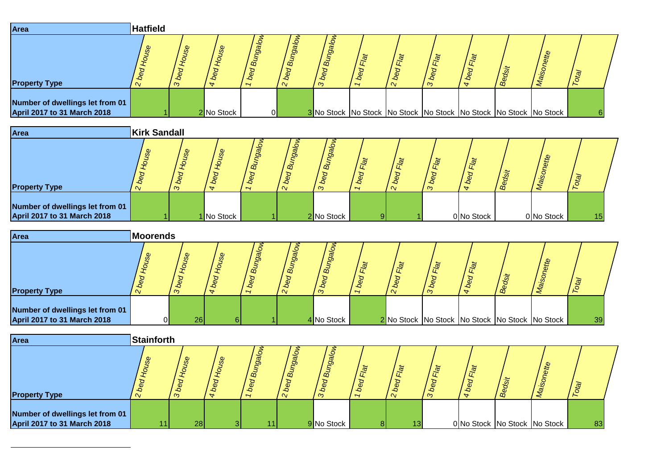| Area                                                                  | <b>Hatfield</b>     |                      |                |                |                |                |            |                                                                  |            |                                                |        |            |                |  |
|-----------------------------------------------------------------------|---------------------|----------------------|----------------|----------------|----------------|----------------|------------|------------------------------------------------------------------|------------|------------------------------------------------|--------|------------|----------------|--|
| <b>Property Type</b>                                                  | 2 bed House         | 3 bed House          | 4 bed House    | 1 bed Bungalow | 2 bed Bungalow | 3 bed Bungalow | 1 bed Flat | 2 bed Flat                                                       | 3 bed Flat | 4 bed Flat                                     | Bedsit | Maisonette | Total          |  |
| Number of dwellings let from 01<br><b>April 2017 to 31 March 2018</b> |                     |                      | 2 No Stock     | $\overline{0}$ |                |                |            | 3 No Stock No Stock No Stock No Stock No Stock No Stock No Stock |            |                                                |        |            | 6              |  |
| Area                                                                  | <b>Kirk Sandall</b> |                      |                |                |                |                |            |                                                                  |            |                                                |        |            |                |  |
| <b>Property Type</b>                                                  | 2 bed House         | 3 bed House          | 4 bed House    | 1 bed Bungalow | 2 bed Bungalow | 3 bed Bungalow | 1 bed Flat | 2 bed Flat                                                       | 3 bed Flat | 4 bed Flat                                     | Bedsit | Maisonette | Total          |  |
| Number of dwellings let from 01<br><b>April 2017 to 31 March 2018</b> |                     |                      | 1 No Stock     |                |                | 2 No Stock     |            | $\overline{9}$                                                   |            | 0 No Stock                                     |        | 0 No Stock | 15             |  |
| Area                                                                  | <b>Moorends</b>     |                      |                |                |                |                |            |                                                                  |            |                                                |        |            |                |  |
| <b>Property Type</b>                                                  | 2 bed House         | 3 bed House          | 4 bed House    | 1 bed Bungalow | 2 bed Bungalow | 3 bed Bungalow | 1 bed Flat | 2 bed Flat                                                       | 3 bed Flat | 4 bed Flat                                     | Bedsit | Maisonette | Total          |  |
| Number of dwellings let from 01<br><b>April 2017 to 31 March 2018</b> |                     | $\overline{0}$<br>26 | 6 <sup>1</sup> |                |                | 4 No Stock     |            |                                                                  |            | 2 No Stock No Stock No Stock No Stock No Stock |        |            | 39             |  |
| Area                                                                  | <b>Stainforth</b>   |                      |                |                |                |                |            |                                                                  |            |                                                |        |            |                |  |
|                                                                       | 2 bed House         | 3 bed House          | 4 bed House    | 1 bed Bungalow | 2 bed Bungalow | 3 bed Bungalow |            |                                                                  |            | 4 bed Flat                                     |        | Maisonette |                |  |
| <b>Property Type</b>                                                  |                     |                      |                |                |                |                | 1 bed Flat | 2 bed Flat                                                       | 3 bed Flat |                                                | Bedsit |            | $\overline{I}$ |  |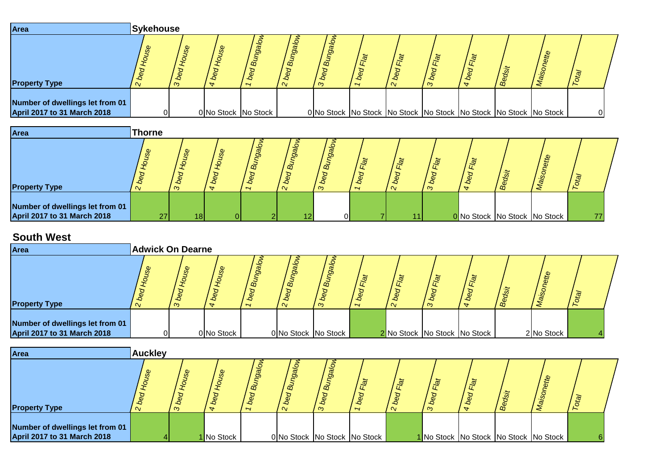| Area                                                                  | Sykehouse |                                  |     |                                |     |        |  |                |      |                                                                              |  |
|-----------------------------------------------------------------------|-----------|----------------------------------|-----|--------------------------------|-----|--------|--|----------------|------|------------------------------------------------------------------------------|--|
| <b>Property Type</b>                                                  |           | $\boldsymbol{\omega}$<br>٠c<br>ന | စ္တ | Ωõ<br>$\overline{\phantom{a}}$ | ്മ് | m<br>ო |  | <u>ja</u><br>ന | / മ് |                                                                              |  |
| Number of dwellings let from 01<br><b>April 2017 to 31 March 2018</b> |           |                                  |     | 0 No Stock No Stock            |     |        |  |                |      | 0 No Stock   No Stock   No Stock   No Stock   No Stock   No Stock   No Stock |  |

| Area                                                                  | <b>Thorne</b> |               |   |                                        |                         |             |                                   |                                  |                        |                              |      |   |              |  |
|-----------------------------------------------------------------------|---------------|---------------|---|----------------------------------------|-------------------------|-------------|-----------------------------------|----------------------------------|------------------------|------------------------------|------|---|--------------|--|
| <b>Property Type</b>                                                  | $\omega$      | $\omega$<br>ന | Φ | $g_{\overline{d}}$<br>$\tilde{\omega}$ | ⊙<br>മ്<br>$\mathbf{v}$ | o<br>ø<br>ന | ىلە<br>$\sigma$<br>$\overline{ }$ | $\tilde{\mathbb{Q}}$<br>$\alpha$ | $\tilde{\vec{r}}$<br>ന | $\vec{a}$                    | ' ക് | Φ | $\mathbf{G}$ |  |
| Number of dwellings let from 01<br><b>April 2017 to 31 March 2018</b> | 27            | 18I           |   |                                        | 12                      | ΩI          |                                   |                                  |                        | 0 No Stock No Stock No Stock |      |   | 77           |  |

## **South West**

| OUUUI 11696                                                           |                                   |             |                       |                          |                              |                |            |                              |            |            |        |                                       |                  |  |
|-----------------------------------------------------------------------|-----------------------------------|-------------|-----------------------|--------------------------|------------------------------|----------------|------------|------------------------------|------------|------------|--------|---------------------------------------|------------------|--|
| Area                                                                  | <b>Adwick On Dearne</b>           |             |                       |                          |                              |                |            |                              |            |            |        |                                       |                  |  |
| <b>Property Type</b>                                                  | bed House<br>$\mathbf{\tilde{v}}$ | 3 bed House | bed House<br>$\Delta$ | wore6 <sub>ung pag</sub> | 2 bed Bungalow               | 3 bed Bungalow | 1 bed Flat | 2 bed Flat                   | 3 bed Flat | 4 bed Flat | Bedsit | Maisonette                            | Total            |  |
| Number of dwellings let from 01<br><b>April 2017 to 31 March 2018</b> | $\Omega$                          |             | 0 No Stock            |                          | 0 No Stock No Stock          |                |            | 2 No Stock No Stock No Stock |            |            |        | 2 No Stock                            |                  |  |
| Area                                                                  | <b>Auckley</b>                    |             |                       |                          |                              |                |            |                              |            |            |        |                                       |                  |  |
| <b>Property Type</b>                                                  | 2 bed House                       | 3 bed House | 4 bed House           | bed Bungalow             | 2 bed Bungalow               | 3 bed Bungalow | 1 bed Flat | 2 bed Flat                   | 3 bed Flat | 4 bed Flat | Bedsit | Maisonette                            | Total            |  |
| Number of dwellings let from 01<br><b>April 2017 to 31 March 2018</b> |                                   |             | 1 No Stock            |                          | 0 No Stock No Stock No Stock |                |            |                              |            |            |        | 1 No Stock No Stock No Stock No Stock | $6 \overline{6}$ |  |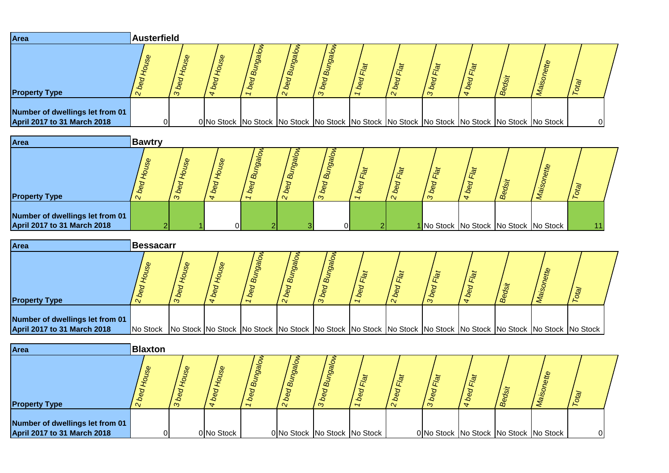| Area                                                                  | <b>Austerfield</b> |   |   |                                  |              |   |  |                     |   |                                                                                                               |          |  |
|-----------------------------------------------------------------------|--------------------|---|---|----------------------------------|--------------|---|--|---------------------|---|---------------------------------------------------------------------------------------------------------------|----------|--|
| <b>Property Type</b>                                                  |                    | ന | ₩ | <u>Se</u><br>$\vec{\omega}$<br>∽ | മ്<br>$\sim$ | ന |  | $\overline{\omega}$ | œ |                                                                                                               | ট্র      |  |
| Number of dwellings let from 01<br><b>April 2017 to 31 March 2018</b> |                    |   |   |                                  |              |   |  |                     |   | 0 No Stock   No Stock   No Stock   No Stock   No Stock   No Stock   No Stock   No Stock   No Stock   No Stock | $\Omega$ |  |

| Area                                                           | Bawtry            |                            |        |                                            |                 |                           |   |        |   |                                       |    |  |
|----------------------------------------------------------------|-------------------|----------------------------|--------|--------------------------------------------|-----------------|---------------------------|---|--------|---|---------------------------------------|----|--|
| <b>Property Type</b>                                           | Φ<br>$\mathbf{v}$ | $\boldsymbol{\omega}$<br>က | Ø<br>₩ | 8g<br>$\omega$<br>$\overline{\phantom{a}}$ | ്മ്<br>$\alpha$ | <sub>00</sub><br>$\infty$ | ∽ | ூ<br>ന | മ | ette                                  | 应  |  |
| Number of dwellings let from 01<br>April 2017 to 31 March 2018 |                   |                            | ΩI     |                                            |                 |                           |   |        |   | 1 No Stock No Stock No Stock No Stock | 11 |  |

| <b>Area</b>                                                    | <b>Bessacarr</b>                                                                                                              |         |  |                     |                             |                |                |     |              |  |
|----------------------------------------------------------------|-------------------------------------------------------------------------------------------------------------------------------|---------|--|---------------------|-----------------------------|----------------|----------------|-----|--------------|--|
| <b>Property Type</b>                                           | $\sim$                                                                                                                        | مہ<br>ന |  | $\vec{a}$<br>$\sim$ | $\tilde{\mathfrak{w}}$<br>ო | $\overline{ }$ | <b>ja</b><br>ന | ' മ | $\mathbf{G}$ |  |
| Number of dwellings let from 01<br>April 2017 to 31 March 2018 | No Stock No Stock No Stock No Stock No Stock No Stock No Stock No Stock No Stock No Stock No Stock No Stock No Stock No Stock |         |  |                     |                             |                |                |     |              |  |

| Area                                                           | <b>Blaxton</b> |   |            |                |                              |               |                                    |                     |                                       |                      |      |  |  |
|----------------------------------------------------------------|----------------|---|------------|----------------|------------------------------|---------------|------------------------------------|---------------------|---------------------------------------|----------------------|------|--|--|
| <b>Property Type</b>                                           | Φ              | ന |            | $\vec{\omega}$ | $\vec{a}$                    | ã<br>$\infty$ | $\tilde{\sigma}$<br>$\overline{ }$ | $\overline{\alpha}$ | $\overline{\alpha}$<br>$\infty$       | $\tilde{\mathbf{a}}$ | ' ക് |  |  |
| Number of dwellings let from 01<br>April 2017 to 31 March 2018 |                |   | 0 No Stock |                | 0 No Stock No Stock No Stock |               |                                    |                     | 0 No Stock No Stock No Stock No Stock |                      |      |  |  |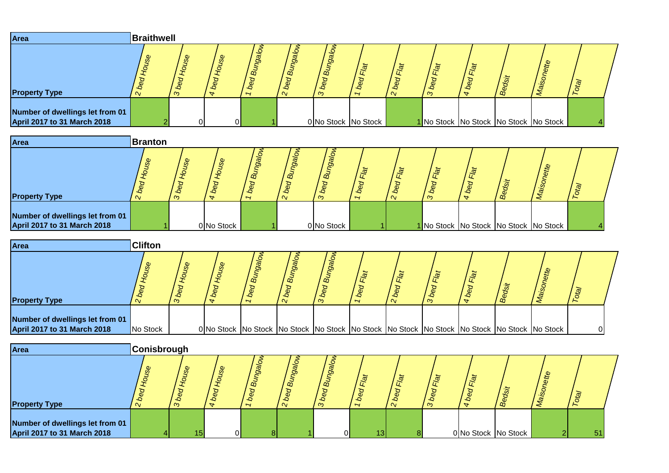| Area                                                                  | Braithwell |                                            |                                  |                                                  |                                      |                    |                               |               |                  |   |                                             |     |  |
|-----------------------------------------------------------------------|------------|--------------------------------------------|----------------------------------|--------------------------------------------------|--------------------------------------|--------------------|-------------------------------|---------------|------------------|---|---------------------------------------------|-----|--|
| <b>Property Type</b>                                                  | စ္က        | $\boldsymbol{\omega}$<br><sub>6</sub><br>ന | $\mathcal{S}^{\mathcal{D}}$<br>₩ | gg<br>$\vec{\omega}$<br>$\overline{\phantom{0}}$ | O.<br>മ്<br>$\overline{a}$<br>$\sim$ | o<br>മ്<br>٠Q<br>ന | இ<br>$\overline{\phantom{0}}$ | $\mathcal{Q}$ | Flat<br>$\infty$ | œ | ette                                        | val |  |
| Number of dwellings let from 01<br><b>April 2017 to 31 March 2018</b> |            |                                            |                                  |                                                  |                                      |                    | 0 No Stock No Stock           |               |                  |   | 1 No Stock   No Stock   No Stock   No Stock |     |  |

| Area                                                           | <b>Branton</b>        |                |                                              |                             |                               |                |                          |                              |                                       |                  |           |  |  |
|----------------------------------------------------------------|-----------------------|----------------|----------------------------------------------|-----------------------------|-------------------------------|----------------|--------------------------|------------------------------|---------------------------------------|------------------|-----------|--|--|
| <b>Property Type</b>                                           | $\boldsymbol{\omega}$ | ٠c<br>$\infty$ | $\boldsymbol{\omega}$<br>÷<br>$\overline{ }$ | සී<br>$\tilde{\omega}$<br>∽ | g<br>$\overline{a}$<br>$\sim$ | $\vec{a}$<br>ന | $\overline{\phantom{a}}$ | $\tilde{\mathfrak{g}}$<br>່∾ | $\tilde{\sigma}$<br>ന                 | $\tilde{\sigma}$ | 5<br>/ జి |  |  |
| Number of dwellings let from 01<br>April 2017 to 31 March 2018 |                       |                | 0 No Stock                                   |                             |                               | 0 No Stock     |                          |                              | 1 No Stock No Stock No Stock No Stock |                  |           |  |  |

| Area                                                                  | <b>Clifton</b> |   |                       |                |                                                                                                               |                |                |        |                           |      |                         |  |
|-----------------------------------------------------------------------|----------------|---|-----------------------|----------------|---------------------------------------------------------------------------------------------------------------|----------------|----------------|--------|---------------------------|------|-------------------------|--|
| <b>Property Type</b>                                                  | ್ಯಿ            | ന | $\boldsymbol{\omega}$ | $\vec{\omega}$ | $\vec{a}$<br>$\sim$                                                                                           | $\vec{a}$<br>൚ | $\overline{ }$ | $\sim$ | $\frac{1}{\sqrt{2}}$<br>ന | / ക് | $\overline{\mathbf{G}}$ |  |
| Number of dwellings let from 01<br><b>April 2017 to 31 March 2018</b> | No Stock       |   |                       |                | 0 No Stock   No Stock   No Stock   No Stock   No Stock   No Stock   No Stock   No Stock   No Stock   No Stock |                |                |        |                           |      |                         |  |

| Area                                                           | <b>Conisbrough</b> |          |          |   |          |        |  |              |                    |                     |    |
|----------------------------------------------------------------|--------------------|----------|----------|---|----------|--------|--|--------------|--------------------|---------------------|----|
|                                                                |                    | മ        |          | ã | m        | O<br>m |  | $\mathbb{R}$ | $L^{\overline{Q}}$ |                     |    |
| <b>Property Type</b>                                           | $\sim$             | $\infty$ |          |   | $\alpha$ | ന      |  | $\infty$     |                    | ക്                  |    |
| Number of dwellings let from 01<br>April 2017 to 31 March 2018 |                    |          | $\Omega$ |   |          | ΩI     |  |              |                    | 0 No Stock No Stock | 51 |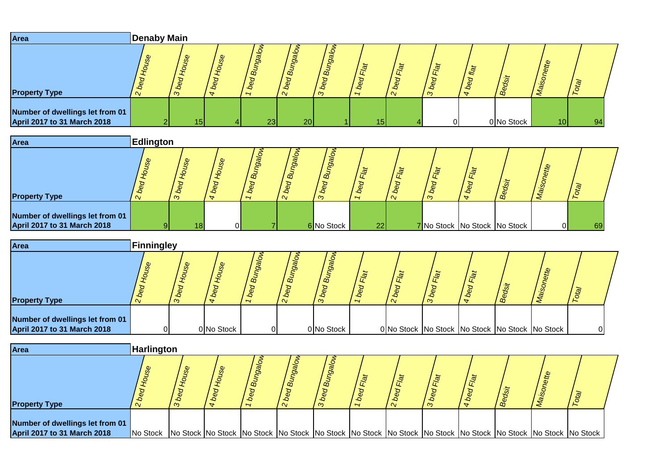| Area                                                                  | <b>Denaby Main</b> |                             |             |                |                |                |            |            |                              |            |            |            |                 |    |
|-----------------------------------------------------------------------|--------------------|-----------------------------|-------------|----------------|----------------|----------------|------------|------------|------------------------------|------------|------------|------------|-----------------|----|
| <b>Property Type</b>                                                  | 2 bed House        | 3 bed House                 | 4 bed House | 1 bed Bungalow | 2 bed Bungalow | 3 bed Bungalow | 1 bed Flat | 2 bed Flat | 3 bed Flat                   | 4 bed flat | Bedsit     | Maisonette | Total           |    |
| Number of dwellings let from 01<br><b>April 2017 to 31 March 2018</b> | 2                  | 15                          |             | 23             | 20             |                |            | 15         | $\Omega$                     |            | 0 No Stock |            | 10 <sup>1</sup> | 94 |
| Area                                                                  | <b>Edlington</b>   |                             |             |                |                |                |            |            |                              |            |            |            |                 |    |
| <b>Property Type</b>                                                  | 2 bed House        | 3 bed House                 | 4 bed House | 1 bed Bungalow | 2 bed Bungalow | 3 bed Bungalow | 1 bed Flat | 2 bed Flat | 3 bed Flat                   | 4 bed Flat | Bedsit     | Maisonette | Total           |    |
| Number of dwellings let from 01<br><b>April 2017 to 31 March 2018</b> | 9                  | 18                          | n۱          |                |                | 6 No Stock     |            | 22         | 7 No Stock No Stock No Stock |            |            |            | 0I              | 69 |
| <b>Area</b>                                                           | Finningley         |                             |             |                |                |                |            |            |                              |            |            |            |                 |    |
|                                                                       | ஜ                  | $\mathcal{S}^{\mathcal{O}}$ | စ္တ         | Molet          | Noret          | Molef          |            |            |                              |            |            |            |                 |    |

| <b>Property Type</b>               |          |            |    | $\tilde{\mathfrak{w}}$ | m          |                |                                                |  | o | $\overline{\omega}$ |  |
|------------------------------------|----------|------------|----|------------------------|------------|----------------|------------------------------------------------|--|---|---------------------|--|
|                                    | $\infty$ |            |    | $\alpha$               |            | $\overline{ }$ |                                                |  |   |                     |  |
|                                    |          |            |    |                        |            |                |                                                |  |   |                     |  |
|                                    |          |            |    |                        |            |                |                                                |  |   |                     |  |
| Number of dwellings let from 01    |          |            |    |                        |            |                |                                                |  |   |                     |  |
| <b>April 2017 to 31 March 2018</b> |          | 0 No Stock | ΩL |                        | 0 No Stock |                | 0 No Stock No Stock No Stock No Stock No Stock |  |   |                     |  |

| <b>Area</b>                                                    | <b>Harlington</b>                                                                                                                      |  |  |          |                          |  |  |  |  |
|----------------------------------------------------------------|----------------------------------------------------------------------------------------------------------------------------------------|--|--|----------|--------------------------|--|--|--|--|
| <b>Property Type</b>                                           |                                                                                                                                        |  |  | $\infty$ | $\overline{\phantom{0}}$ |  |  |  |  |
| Number of dwellings let from 01<br>April 2017 to 31 March 2018 | No Stock No Stock No Stock No Stock No Stock No Stock No Stock No Stock No Stock No Stock No Stock No Stock No Stock No Stock No Stock |  |  |          |                          |  |  |  |  |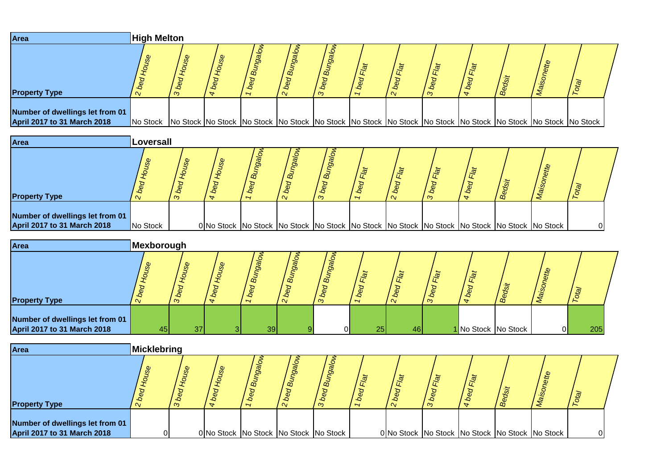| Area                                                           | <b>High Melton</b>                                                                                                            |   |                            |                                |              |   |                          |   |   |     |  |
|----------------------------------------------------------------|-------------------------------------------------------------------------------------------------------------------------------|---|----------------------------|--------------------------------|--------------|---|--------------------------|---|---|-----|--|
| <b>Property Type</b>                                           |                                                                                                                               | ന | $\mathcal{S}^{\mathbf{D}}$ | gg<br>$\overline{\phantom{a}}$ | ക്<br>$\sim$ | ന | $\overline{\phantom{a}}$ | ന | œ | ট্র |  |
| Number of dwellings let from 01<br>April 2017 to 31 March 2018 | No Stock No Stock No Stock No Stock No Stock No Stock No Stock No Stock No Stock No Stock No Stock No Stock No Stock No Stock |   |                            |                                |              |   |                          |   |   |     |  |

| Area                                                                  | Loversall |         |   |                                                                                                               |                       |                |        |   |   |  |  |
|-----------------------------------------------------------------------|-----------|---------|---|---------------------------------------------------------------------------------------------------------------|-----------------------|----------------|--------|---|---|--|--|
| <b>Property Type</b>                                                  |           | ٠Q<br>ന | ∽ | යි<br>മ്<br>൜                                                                                                 | $\tilde{\omega}$<br>ന | $\overline{ }$ | $\sim$ | ന | க |  |  |
| Number of dwellings let from 01<br><b>April 2017 to 31 March 2018</b> | No Stock  |         |   | 0 No Stock   No Stock   No Stock   No Stock   No Stock   No Stock   No Stock   No Stock   No Stock   No Stock |                       |                |        |   |   |  |  |

| Area                                                           | Mexborough |                            |                             |                          |                           |         |                 |                        |                       |                  |                     |    |     |  |
|----------------------------------------------------------------|------------|----------------------------|-----------------------------|--------------------------|---------------------------|---------|-----------------|------------------------|-----------------------|------------------|---------------------|----|-----|--|
| <b>Property Type</b>                                           |            | $\boldsymbol{\omega}$<br>ന | $\mathcal{S}^{\mathcal{D}}$ | $g_{\overline{g}}$<br>മ് | 9a<br>$\vec{a}$<br>$\sim$ | മ്<br>S | $\overline{ }$  | $\tilde{\mathfrak{g}}$ | $\tilde{\sigma}$<br>ന | ستلا<br>$\omega$ | / മ്                | te | 应   |  |
| Number of dwellings let from 01<br>April 2017 to 31 March 2018 | 45         | 371                        |                             | 39 <sub>l</sub>          |                           | ΩL      | 25 <sub>h</sub> | 46                     |                       |                  | 1 No Stock No Stock | ΟI | 205 |  |

| <b>Area</b>                                                    | Micklebring |        |                      |        |                                                             |                           |                      |                      |                |                                                |    |  |
|----------------------------------------------------------------|-------------|--------|----------------------|--------|-------------------------------------------------------------|---------------------------|----------------------|----------------------|----------------|------------------------------------------------|----|--|
| <b>Property Type</b>                                           | $\sim$      | s<br>ന | ٠c<br>$\overline{a}$ | 8<br>∽ | <b>Sp</b><br>$\vec{B}$<br>$\boldsymbol{\omega}$<br>$\alpha$ | ã<br>$\sigma$<br>$\infty$ | -9<br>$\overline{ }$ | $\tilde{\mathbb{Q}}$ | $\vec{p}$<br>ന | ക്                                             | te |  |
| Number of dwellings let from 01<br>April 2017 to 31 March 2018 |             |        |                      |        | 0 No Stock No Stock No Stock No Stock                       |                           |                      |                      |                | 0 No Stock No Stock No Stock No Stock No Stock |    |  |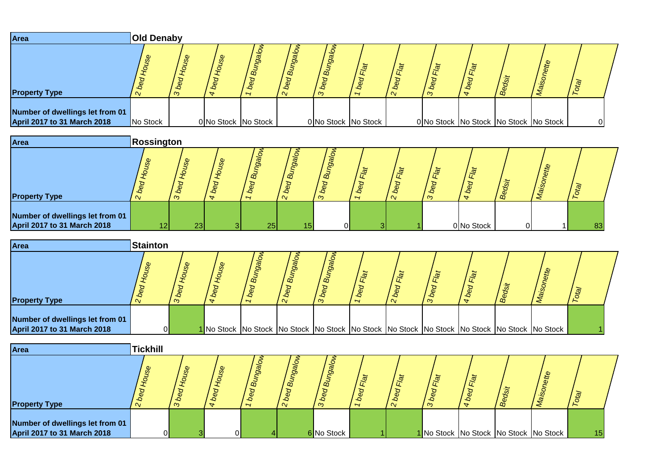| Area                                                           | <b>Old Denaby</b> |                            |                     |                            |                            |                     |                          |                |                            |                                       |          |  |
|----------------------------------------------------------------|-------------------|----------------------------|---------------------|----------------------------|----------------------------|---------------------|--------------------------|----------------|----------------------------|---------------------------------------|----------|--|
| <b>Property Type</b>                                           |                   | $\boldsymbol{\sigma}$<br>ന | pac                 | ത്<br>-0<br>$\overline{ }$ | $\vec{\omega}$<br>$\alpha$ | <u>ත</u><br>ã<br>ന  | $\overline{\phantom{a}}$ | Flat<br>$\sim$ | $\overline{a}$<br>$\infty$ | / စိ                                  | .T       |  |
| Number of dwellings let from 01<br>April 2017 to 31 March 2018 | No Stock          |                            | 0 No Stock No Stock |                            |                            | 0 No Stock No Stock |                          |                |                            | 0 No Stock No Stock No Stock No Stock | $\Omega$ |  |

| Area                                                                  | Rossington |           |                     |                       |                                  |                                  |        |   |            |              |     |  |
|-----------------------------------------------------------------------|------------|-----------|---------------------|-----------------------|----------------------------------|----------------------------------|--------|---|------------|--------------|-----|--|
| <b>Property Type</b>                                                  |            |           | œ<br>$\overline{ }$ | $\tilde{m}$<br>$\sim$ | ö<br>$\tilde{\mathfrak{G}}$<br>ന | ्विं<br>$\overline{\phantom{0}}$ | $\sim$ | ൗ |            | $t^{\omega}$ | -50 |  |
| Number of dwellings let from 01<br><b>April 2017 to 31 March 2018</b> | 121        | <b>23</b> | 25 <sub>h</sub>     | 1 F.                  | $\Omega$                         |                                  |        |   | 0 No Stock |              | 83  |  |

| Area                                                                  | <b>Stainton</b> |          |   |                                       |                                                                                                               |                |                                    |                        |                       |            |          |  |
|-----------------------------------------------------------------------|-----------------|----------|---|---------------------------------------|---------------------------------------------------------------------------------------------------------------|----------------|------------------------------------|------------------------|-----------------------|------------|----------|--|
| <b>Property Type</b>                                                  | $\alpha$        | $\infty$ | v | $\vec{a}$<br>$\overline{\phantom{a}}$ | $\vec{B}$                                                                                                     | $\vec{a}$<br>ന | $\tilde{\sigma}$<br>$\overline{ }$ | $\tilde{\mathfrak{g}}$ | $\tilde{\sigma}$<br>ന | .Ø<br>/ థి | <b>A</b> |  |
| Number of dwellings let from 01<br><b>April 2017 to 31 March 2018</b> |                 |          |   |                                       | 1 No Stock   No Stock   No Stock   No Stock   No Stock   No Stock   No Stock   No Stock   No Stock   No Stock |                |                                    |                        |                       |            |          |  |

| Area                                                           | <b>Tickhill</b>          |                            |              |                                                 |                    |                          |           |                                       |         |    |  |
|----------------------------------------------------------------|--------------------------|----------------------------|--------------|-------------------------------------------------|--------------------|--------------------------|-----------|---------------------------------------|---------|----|--|
| <b>Property Type</b>                                           | <b>S</b><br>$\mathbf{v}$ | $\boldsymbol{\omega}$<br>ന | $\omega$     | $\overline{a}$<br>o<br>$\overline{\phantom{0}}$ | മ്<br>-0<br>$\sim$ | o<br>$\vec{\omega}$<br>ന | $\vec{p}$ | ्रोल<br>ന                             | $B_{e}$ |    |  |
| Number of dwellings let from 01<br>April 2017 to 31 March 2018 | $\overline{0}$           |                            | $\mathbf{0}$ |                                                 |                    | 6 No Stock               |           | 1 No Stock No Stock No Stock No Stock |         | 15 |  |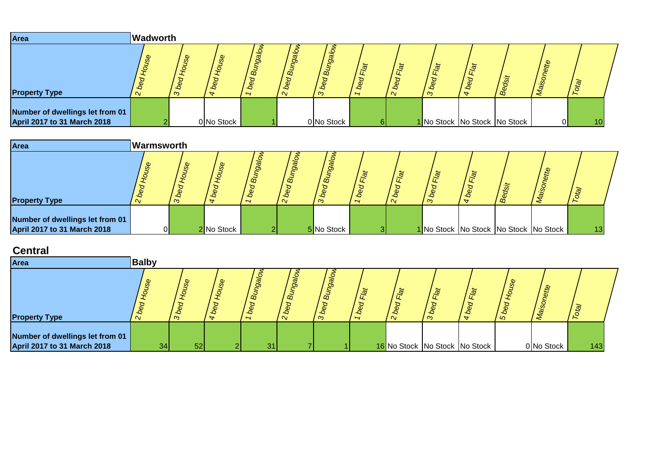| Area                                                           | <b>Wadworth</b> |         |                             |                                      |                                              |                |                                          |                     |                              |   |      |    |                 |
|----------------------------------------------------------------|-----------------|---------|-----------------------------|--------------------------------------|----------------------------------------------|----------------|------------------------------------------|---------------------|------------------------------|---|------|----|-----------------|
| <b>Property Type</b>                                           | $\alpha$        | U.<br>൚ | $\mathcal{S}^{\mathcal{C}}$ | gg<br>ക്<br>$\overline{\phantom{0}}$ | Ö<br>' வி<br>$\boldsymbol{\sigma}$<br>$\sim$ | DÕ,<br>-9<br>ന | $\mathbf{C}$<br>$\overline{\phantom{0}}$ | $\overline{\omega}$ | Flat<br>ന                    | œ | ette | 应  |                 |
| Number of dwellings let from 01<br>April 2017 to 31 March 2018 |                 |         | 0 No Stock                  |                                      |                                              | 0 No Stock     |                                          |                     | 1 No Stock No Stock No Stock |   |      | ΟI | 10 <sub>1</sub> |

| Area                                                                  | Warmsworth                        |                            |                            |         |              |                                    |     |          |                |                          |   |                                       |    |  |
|-----------------------------------------------------------------------|-----------------------------------|----------------------------|----------------------------|---------|--------------|------------------------------------|-----|----------|----------------|--------------------------|---|---------------------------------------|----|--|
| <b>Property Type</b>                                                  | $\boldsymbol{\omega}$<br>$\alpha$ | $\boldsymbol{\omega}$<br>ന | $\boldsymbol{\omega}$<br>Ø | മ്<br>∽ | $\mathbf{a}$ | m<br>$S_{\mathcal{O}}$<br>$\infty$ | -90 | $\alpha$ | Flat<br>Φ<br>ო | $\overline{\phantom{a}}$ | m | ette                                  | 应  |  |
| Number of dwellings let from 01<br><b>April 2017 to 31 March 2018</b> |                                   |                            | 2 No Stock                 |         |              | 5 No Stock                         |     |          |                |                          |   | 1 No Stock No Stock No Stock No Stock | 13 |  |

## **Central**

| Area                                                                  | <b>Balby</b> |              |                                     |                 |    |                             |                |                        |                                   |                                  |               |            |     |  |
|-----------------------------------------------------------------------|--------------|--------------|-------------------------------------|-----------------|----|-----------------------------|----------------|------------------------|-----------------------------------|----------------------------------|---------------|------------|-----|--|
| <b>Property Type</b>                                                  | Φ            | Φ<br>-9<br>ന | Φ<br>Ø.<br>$\overline{\phantom{a}}$ | മ്<br>∽         | മ് | $\tilde{\mathfrak{C}}$<br>က | $\overline{ }$ | $\tilde{\mathfrak{a}}$ | $\tilde{\sigma}$<br>Æ<br>$\infty$ | ىلە<br>$\alpha$<br>$\rightarrow$ | $\omega$<br>് |            |     |  |
| Number of dwellings let from 01<br><b>April 2017 to 31 March 2018</b> | 34           | 52           |                                     | 31 <sub>1</sub> |    |                             |                |                        |                                   | 16 No Stock No Stock No Stock    |               | 0 No Stock | 143 |  |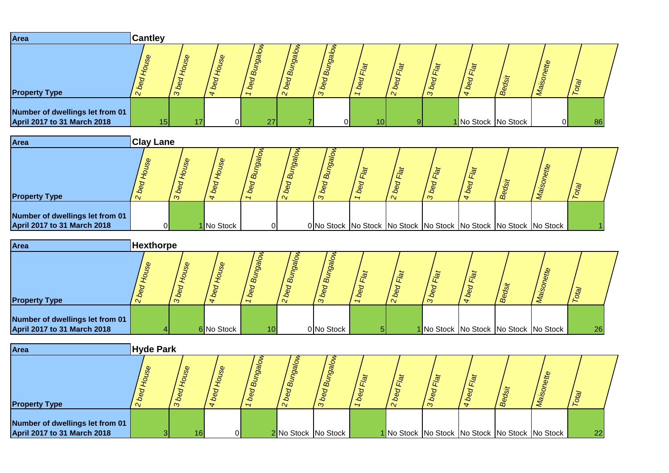| Area                                                           | <b>Cantley</b>              |          |          |                      |                                               |                            |                 |               |           |                                        |           |                          |    |
|----------------------------------------------------------------|-----------------------------|----------|----------|----------------------|-----------------------------------------------|----------------------------|-----------------|---------------|-----------|----------------------------------------|-----------|--------------------------|----|
| <b>Property Type</b>                                           | $\mathcal{S}^{\mathcal{D}}$ | တ္တ<br>ന | use<br>₩ | eol<br>$B_{ij}$<br>∽ | eol<br>ี่ อั<br>$\sigma$<br>$\mathbf{\alpha}$ | ' മ്<br>$b_{\rm e}$<br>് ന | ₽.<br>∽         | ্রত<br>$\sim$ | Flat<br>൚ | $\omega$<br>bed<br>க<br>$\overline{a}$ | $ds_{it}$ | atte<br>le <sub>10</sub> |    |
| Number of dwellings let from 01<br>April 2017 to 31 March 2018 | 15 <sub>h</sub>             |          |          | 27                   |                                               |                            | 10 <sup>1</sup> | <sup>Q</sup>  |           | 1 No Stock No Stock                    |           | ΟI                       | 86 |
| Area                                                           | <b>Clay Lane</b>            |          |          |                      |                                               |                            |                 |               |           |                                        |           |                          |    |

| <b>Property Type</b>                                                  |    |   |            | $\alpha$                 | $\vec{\omega}$ | $\alpha$ |  |  |   |                                                                              |  |
|-----------------------------------------------------------------------|----|---|------------|--------------------------|----------------|----------|--|--|---|------------------------------------------------------------------------------|--|
|                                                                       |    | ന |            | $\overline{\phantom{a}}$ | $\alpha$       | ൚        |  |  | m |                                                                              |  |
| Number of dwellings let from 01<br><b>April 2017 to 31 March 2018</b> | ∩I |   | 1 No Stock | ∩∎                       |                |          |  |  |   | 0 No Stock   No Stock   No Stock   No Stock   No Stock   No Stock   No Stock |  |

| Area                                                                  | <b>Hexthorpe</b> |                |            |                                        |                                     |                            |                         |                          |          |             |      |                                       |    |  |
|-----------------------------------------------------------------------|------------------|----------------|------------|----------------------------------------|-------------------------------------|----------------------------|-------------------------|--------------------------|----------|-------------|------|---------------------------------------|----|--|
| <b>Property Type</b>                                                  | $\sim$           | ٠Q<br>$\infty$ | Φ          | $g_{\overline{g}}$<br>$\tilde{\omega}$ | $\omega$<br>0<br>മ്<br>$\mathbf{v}$ | മ്<br>$b$ e $\sigma$<br>m. | محالا<br>$\overline{ }$ | $\overline{a}$<br>$\sim$ | lat<br>ന | $\tilde{a}$ | / ஜீ |                                       |    |  |
| Number of dwellings let from 01<br><b>April 2017 to 31 March 2018</b> |                  |                | 6 No Stock | 101                                    |                                     | 0 No Stock                 | 51                      |                          |          |             |      | 1 No Stock No Stock No Stock No Stock | 26 |  |

| <b>Area</b>                                                    | <b>Hyde Park</b> |        |                |   |                                            |                           |                     |                                  |                                                   |   |      |                                                        |    |  |
|----------------------------------------------------------------|------------------|--------|----------------|---|--------------------------------------------|---------------------------|---------------------|----------------------------------|---------------------------------------------------|---|------|--------------------------------------------------------|----|--|
| <b>Property Type</b>                                           |                  | e<br>ന | ₩              | 8 | 8<br>a)<br>$\boldsymbol{\omega}$<br>$\sim$ | ã<br>99<br>٠Q<br>$\infty$ | 高<br>$\overline{ }$ | $\tilde{\mathbb{Q}}$<br>$\alpha$ | $\overline{\alpha}$<br>$\boldsymbol{\omega}$<br>ന | 壶 | / ထိ | £                                                      |    |  |
| Number of dwellings let from 01<br>April 2017 to 31 March 2018 |                  | 16     | $\overline{0}$ |   |                                            | 2 No Stock No Stock       |                     |                                  |                                                   |   |      | 1 No Stock   No Stock   No Stock   No Stock   No Stock | 22 |  |